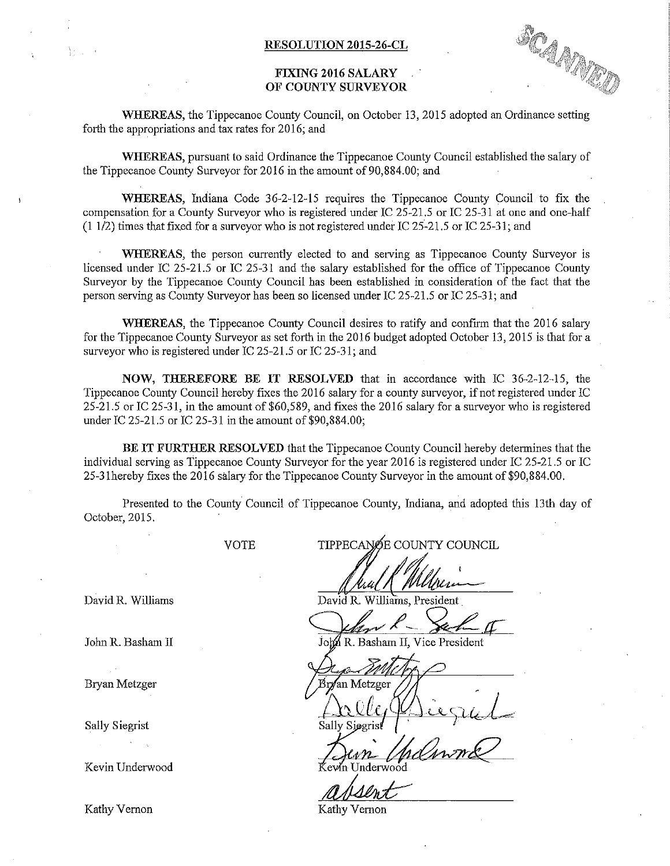## FIXING 2016 SALARY OF COUNTY SURVEYOR

SOAMED

WHEREAS, the Tippecanoe County Council, on October 13, 2015 adopted an Ordinance setting forth the appropriations and tax rates for 2016; and

WHEREAS, pursuant to said Ordinance the Tippecanoe County Council established the salary of the Tippecanoe County Surveyor for 2016 in the amount of 90,884.00; and <sup>~</sup>

WHEREAS, Indiana Code 36-2—12-15 requires the Tippecanoe County Council to fix the compensation for a County Surveyor who is registered under IC 25—215 or IC 25—31 at one and one—half  $(1 1/2)$  times that fixed for a surveyor who is not registered under IC 25-21.5 or IC 25-31; and

WHEREAS, the person currently elected to and serving as Tippecanoe County Surveyor is licensed under IC 25-21.5 or IC 25-31 and the salary established for the office of Tippecanoe County Surveyor by the Tippecanoe County Council has been established in consideration of the fact that the person serving as County Surveyor has been so licensed under IC 25-21.5 or IC 25-31; and

WHEREAS, the Tippecanoe County Council desires to ratify and confirm that the 2016 salary for the Tippecanoe County Surveyor as set forth in the 2016 budget adopted October 13, 2015 is that for a surveyor who is registered under IC 25-21.5 or IC 25-31; and

NOW, THEREFORE BE IT RESOLVED that in accordance with IC 36-2-12-15, the Tippecanoe County Council hereby fixes the 2016 salary for a county surveyor, if not registered under IC 25-215 or IC 25—3 1, in the amount of \$60,589, and fixes the 2016 salary for <sup>a</sup> surveyor who is registered under IC 25—215 or IC 25—31 in the amount of \$90,884.00;

BE IT FURTHER RESOLVED that the Tippecanoe County Council hereby determines that the individual serving as Tippecanoe County Surveyor for the year 2016 is registered under IC 25—21 .5 or 1C 25—31hereby fixes the 2016 salary for the Tippecanoe County Surveyor in the amount of \$90,884.00.

Presented to the County. Council of Tippecanoe County, Indiana, and adopted this 13th day of October, 2015.

Bryan Metzger

Sally Siegrist

Kevin Underwood

Kathy Vernon Kathy Vernon

VOTE TIPPECANOE COUNTY COUNCIL

David R. Williams David R. Williams, President

John R. Basham II **John R. Basham II, Vice President** 

an Metzger part in the contract of the contract of the contract of the contract of the contract of the contract of the contract of the contract of the contract of the contract of the contract of the contract of the contract of the co

Underwood